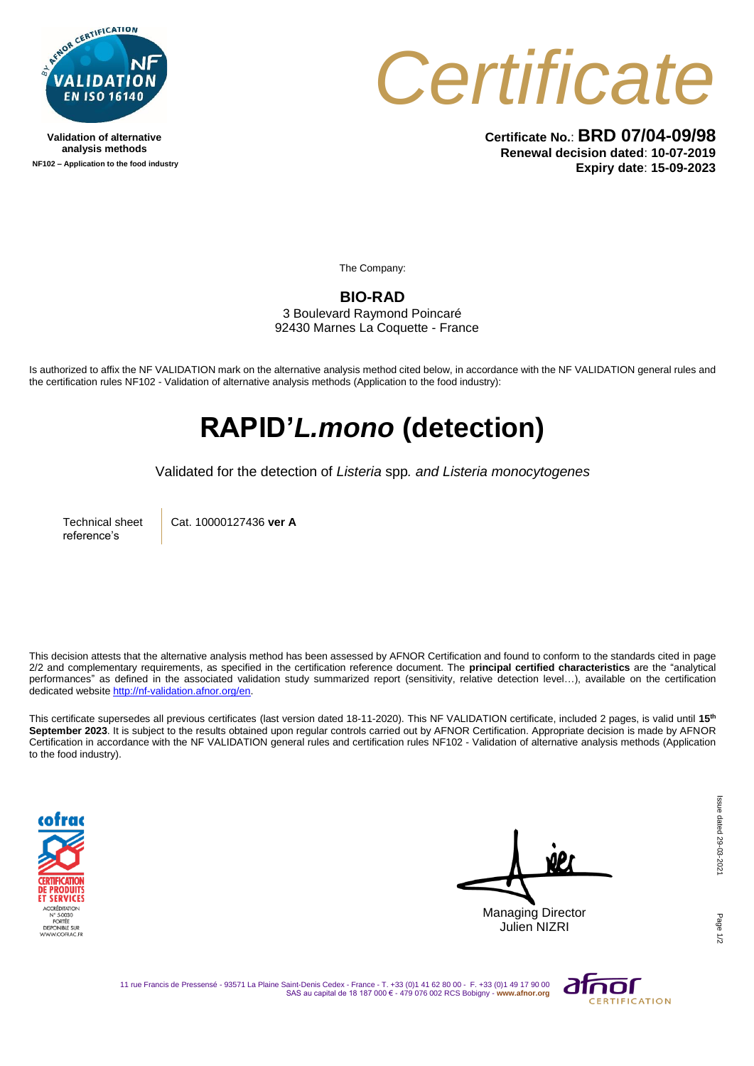

**Validation of alternative analysis methods NF102 – Application to the food industry**



**Certificate No.**: **BRD 07/04-09/98 Renewal decision dated**: **10-07-2019 Expiry date**: **15-09-2023**

The Company:

**BIO-RAD**

3 Boulevard Raymond Poincaré 92430 Marnes La Coquette - France

Is authorized to affix the NF VALIDATION mark on the alternative analysis method cited below, in accordance with the NF VALIDATION general rules and the certification rules NF102 - Validation of alternative analysis methods (Application to the food industry):

## **RAPID'***L.mono* **(detection)**

Validated for the detection of *Listeria* spp*. and Listeria monocytogenes*

Technical sheet reference's

Cat. 10000127436 **ver A**

This decision attests that the alternative analysis method has been assessed by AFNOR Certification and found to conform to the standards cited in page 2/2 and complementary requirements, as specified in the certification reference document. The **principal certified characteristics** are the "analytical performances" as defined in the associated validation study summarized report (sensitivity, relative detection level…), available on the certification dedicated websit[e http://nf-validation.afnor.org/en.](http://nf-validation.afnor.org/en)

This certificate supersedes all previous certificates (last version dated 18-11-2020). This NF VALIDATION certificate, included 2 pages, is valid until **15th September 2023**. It is subject to the results obtained upon regular controls carried out by AFNOR Certification. Appropriate decision is made by AFNOR Certification in accordance with the NF VALIDATION general rules and certification rules NF102 - Validation of alternative analysis methods (Application to the food industry).



Managing Director Julien NIZRI

Page

11 rue Francis de Pressensé - 93571 La Plaine Saint-Denis Cedex - France - T. +33 (0)1 41 62 80 00 - F. +33 (0)1 49 17 90 00 SAS au capital de 18 187 000 € - 479 076 002 RCS Bobigny - **www.afnor.org**